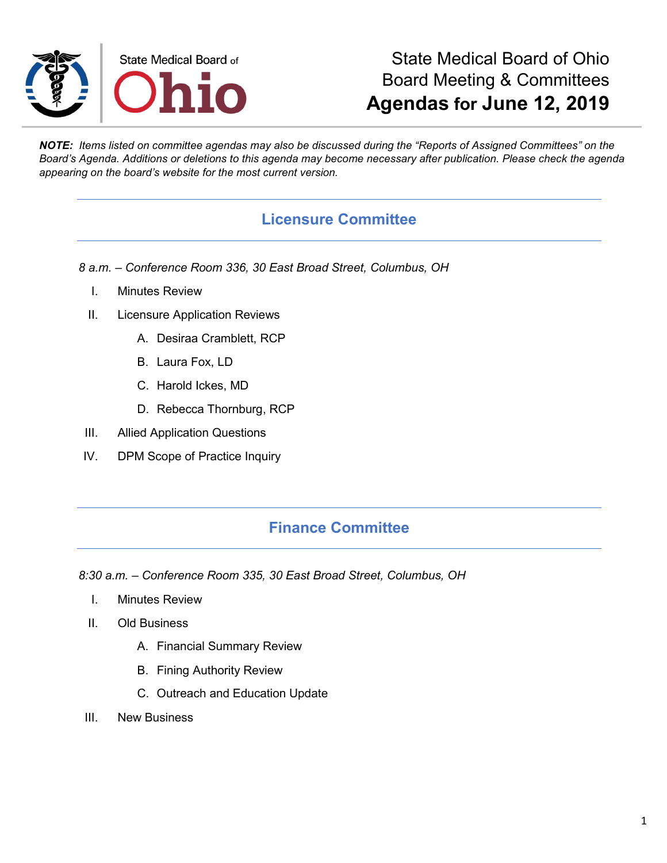

# State Medical Board of Ohio Board Meeting & Committees **Agendas for June 12, 2019**

*NOTE: Items listed on committee agendas may also be discussed during the "Reports of Assigned Committees" on the Board's Agenda. Additions or deletions to this agenda may become necessary after publication. Please check the agenda appearing on the board's website for the most current version.*

## **Licensure Committee**

*8 a.m. – Conference Room 336, 30 East Broad Street, Columbus, OH*

- I. Minutes Review
- II. Licensure Application Reviews
	- A. Desiraa Cramblett, RCP
	- B. Laura Fox, LD
	- C. Harold Ickes, MD
	- D. Rebecca Thornburg, RCP
- III. Allied Application Questions
- IV. DPM Scope of Practice Inquiry

## **Finance Committee**

*8:30 a.m. – Conference Room 335, 30 East Broad Street, Columbus, OH*

- I. Minutes Review
- II. Old Business
	- A. Financial Summary Review
	- B. Fining Authority Review
	- C. Outreach and Education Update
- III. New Business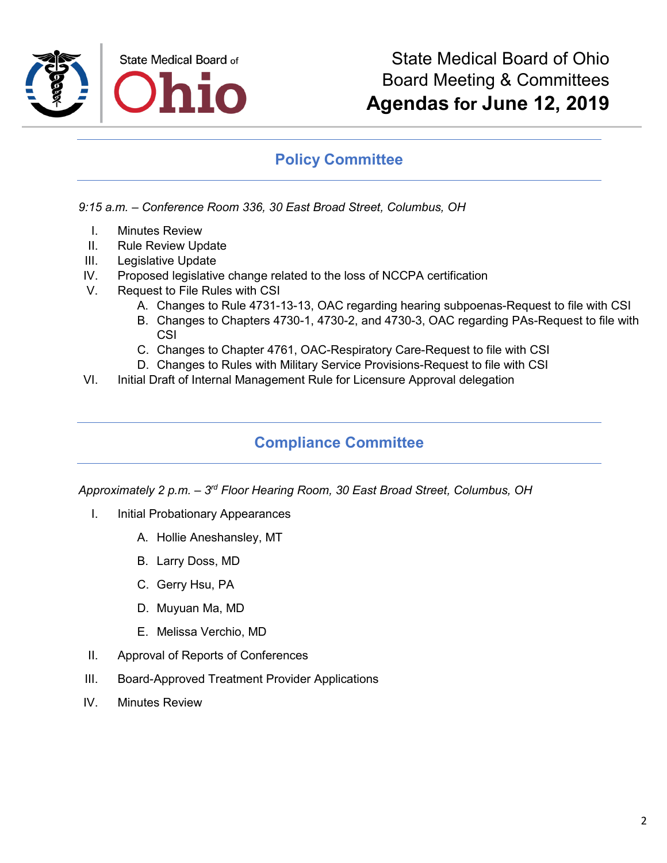

## **Policy Committee**

*9:15 a.m. – Conference Room 336, 30 East Broad Street, Columbus, OH*

- I. Minutes Review
- II. Rule Review Update
- III. Legislative Update
- IV. Proposed legislative change related to the loss of NCCPA certification
- V. Request to File Rules with CSI
	- A. Changes to Rule 4731-13-13, OAC regarding hearing subpoenas-Request to file with CSI
	- B. Changes to Chapters 4730-1, 4730-2, and 4730-3, OAC regarding PAs-Request to file with **CSI**
	- C. Changes to Chapter 4761, OAC-Respiratory Care-Request to file with CSI
	- D. Changes to Rules with Military Service Provisions-Request to file with CSI
- VI. Initial Draft of Internal Management Rule for Licensure Approval delegation

## **Compliance Committee**

*Approximately 2 p.m. – 3rd Floor Hearing Room, 30 East Broad Street, Columbus, OH*

- I. Initial Probationary Appearances
	- A. Hollie Aneshansley, MT
	- B. Larry Doss, MD
	- C. Gerry Hsu, PA
	- D. Muyuan Ma, MD
	- E. Melissa Verchio, MD
- II. Approval of Reports of Conferences
- III. Board-Approved Treatment Provider Applications
- IV. Minutes Review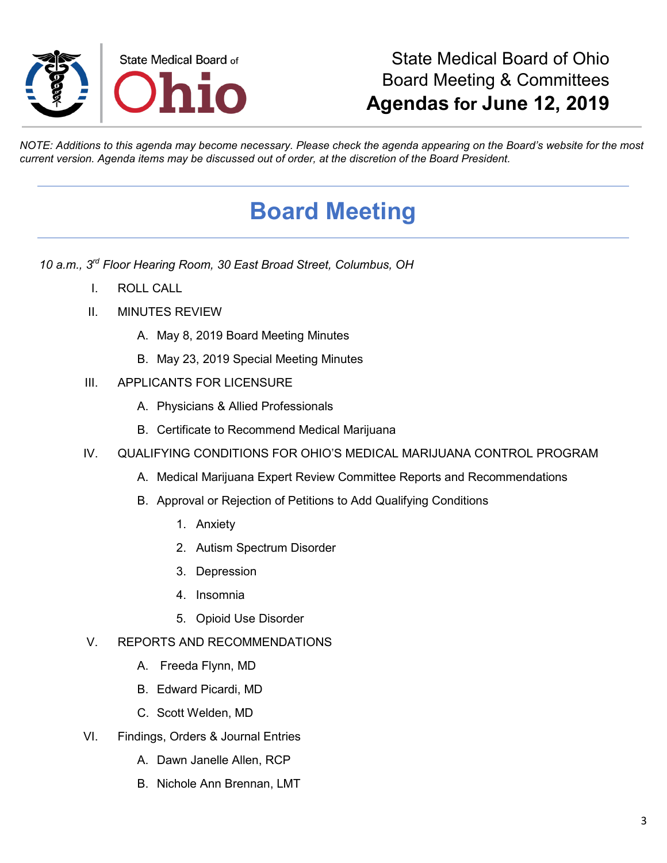

# State Medical Board of Ohio Board Meeting & Committees **Agendas for June 12, 2019**

*NOTE: Additions to this agenda may become necessary. Please check the agenda appearing on the Board's website for the most current version. Agenda items may be discussed out of order, at the discretion of the Board President.*

# **Board Meeting**

- *10 a.m., 3rd Floor Hearing Room, 30 East Broad Street, Columbus, OH*
	- I. ROLL CALL
	- II. MINUTES REVIEW
		- A. May 8, 2019 Board Meeting Minutes
		- B. May 23, 2019 Special Meeting Minutes
	- III. APPLICANTS FOR LICENSURE
		- A. Physicians & Allied Professionals
		- B. Certificate to Recommend Medical Marijuana
	- IV. QUALIFYING CONDITIONS FOR OHIO'S MEDICAL MARIJUANA CONTROL PROGRAM
		- A. Medical Marijuana Expert Review Committee Reports and Recommendations
		- B. Approval or Rejection of Petitions to Add Qualifying Conditions
			- 1. Anxiety
			- 2. Autism Spectrum Disorder
			- 3. Depression
			- 4. Insomnia
			- 5. Opioid Use Disorder
	- V. REPORTS AND RECOMMENDATIONS
		- A. Freeda Flynn, MD
		- B. Edward Picardi, MD
		- C. Scott Welden, MD
	- VI. Findings, Orders & Journal Entries
		- A. Dawn Janelle Allen, RCP
		- B. Nichole Ann Brennan, LMT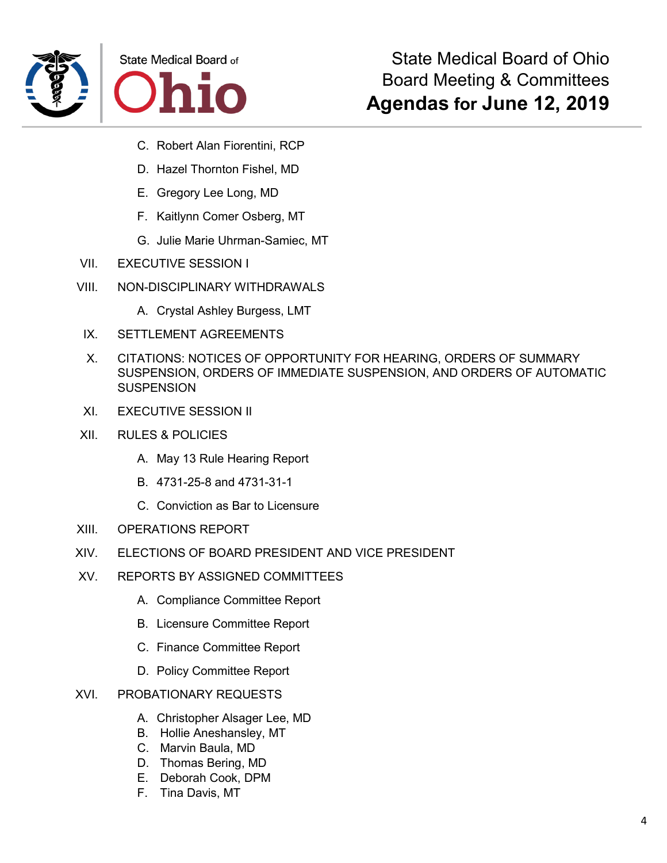



- C. Robert Alan Fiorentini, RCP
- D. Hazel Thornton Fishel, MD
- E. Gregory Lee Long, MD
- F. Kaitlynn Comer Osberg, MT
- G. Julie Marie Uhrman-Samiec, MT
- VII. EXECUTIVE SESSION I
- VIII. NON-DISCIPLINARY WITHDRAWALS
	- A. Crystal Ashley Burgess, LMT
- IX. SETTLEMENT AGREEMENTS
- X. CITATIONS: NOTICES OF OPPORTUNITY FOR HEARING, ORDERS OF SUMMARY SUSPENSION, ORDERS OF IMMEDIATE SUSPENSION, AND ORDERS OF AUTOMATIC **SUSPENSION**
- XI. EXECUTIVE SESSION II
- XII. RULES & POLICIES
	- A. May 13 Rule Hearing Report
	- B. 4731-25-8 and 4731-31-1
	- C. Conviction as Bar to Licensure
- XIII. OPERATIONS REPORT
- XIV. ELECTIONS OF BOARD PRESIDENT AND VICE PRESIDENT
- XV. REPORTS BY ASSIGNED COMMITTEES
	- A. Compliance Committee Report
	- B. Licensure Committee Report
	- C. Finance Committee Report
	- D. Policy Committee Report
- XVI. PROBATIONARY REQUESTS
	- A. Christopher Alsager Lee, MD
	- B. Hollie Aneshansley, MT
	- C. Marvin Baula, MD
	- D. Thomas Bering, MD
	- E. Deborah Cook, DPM
	- F. Tina Davis, MT